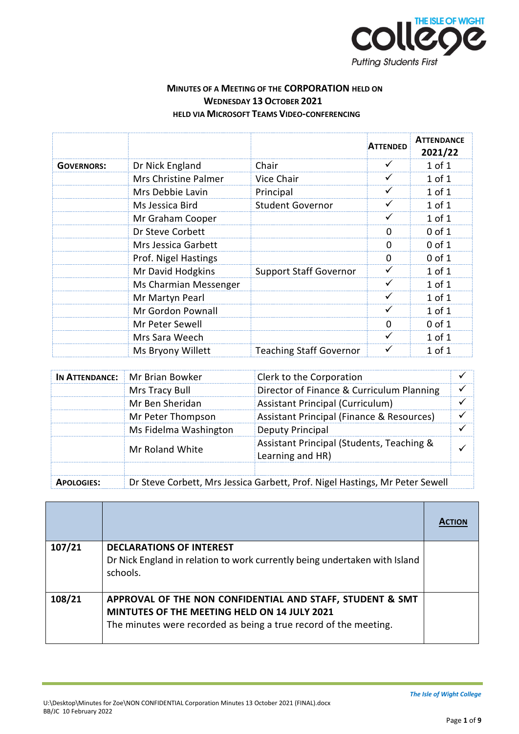

## **MINUTES OF A MEETING OF THE CORPORATION HELD ON WEDNESDAY 13 OCTOBER 2021 HELD VIA MICROSOFT TEAMS VIDEO-CONFERENCING**

|                   |                       |                                | <b>ATTENDED</b> | <b>ATTENDANCE</b><br>2021/22 |
|-------------------|-----------------------|--------------------------------|-----------------|------------------------------|
| <b>GOVERNORS:</b> | Dr Nick England       | Chair                          | ✓               | 1 of 1                       |
|                   | Mrs Christine Palmer  | Vice Chair                     | ✓               | $1$ of $1$                   |
|                   | Mrs Debbie Lavin      | Principal                      | ✓               | $1$ of $1$                   |
|                   | Ms Jessica Bird       | <b>Student Governor</b>        | $\checkmark$    | $1$ of $1$                   |
|                   | Mr Graham Cooper      |                                | $\checkmark$    | $1$ of $1$                   |
|                   | Dr Steve Corbett      |                                | $\Omega$        | $0$ of $1$                   |
|                   | Mrs Jessica Garbett   |                                | $\mathbf 0$     | $0$ of $1$                   |
|                   | Prof. Nigel Hastings  |                                | $\Omega$        | $0$ of $1$                   |
|                   | Mr David Hodgkins     | <b>Support Staff Governor</b>  | ✓               | $1$ of $1$                   |
|                   | Ms Charmian Messenger |                                | ✓               | $1$ of $1$                   |
|                   | Mr Martyn Pearl       |                                | ✓               | $1$ of $1$                   |
|                   | Mr Gordon Pownall     |                                | ✓               | $1$ of $1$                   |
|                   | Mr Peter Sewell       |                                | $\Omega$        | $0$ of $1$                   |
|                   | Mrs Sara Weech        |                                | ✓               | 1 of 1                       |
|                   | Ms Bryony Willett     | <b>Teaching Staff Governor</b> | ✓               | $1$ of $1$                   |

|                   | <b>IN ATTENDANCE:</b> Mr Brian Bowker                                        | Clerk to the Corporation                                      |  |
|-------------------|------------------------------------------------------------------------------|---------------------------------------------------------------|--|
|                   | Mrs Tracy Bull                                                               | Director of Finance & Curriculum Planning                     |  |
|                   | Mr Ben Sheridan                                                              | Assistant Principal (Curriculum)                              |  |
|                   | Mr Peter Thompson                                                            | Assistant Principal (Finance & Resources)                     |  |
|                   | Ms Fidelma Washington                                                        | Deputy Principal                                              |  |
|                   | Mr Roland White                                                              | Assistant Principal (Students, Teaching &<br>Learning and HR) |  |
|                   |                                                                              |                                                               |  |
| <b>APOLOGIES:</b> | Dr Steve Corbett, Mrs Jessica Garbett, Prof. Nigel Hastings, Mr Peter Sewell |                                                               |  |

| 107/21 | <b>DECLARATIONS OF INTEREST</b><br>Dr Nick England in relation to work currently being undertaken with Island<br>schools.                                                            |  |
|--------|--------------------------------------------------------------------------------------------------------------------------------------------------------------------------------------|--|
| 108/21 | APPROVAL OF THE NON CONFIDENTIAL AND STAFF, STUDENT & SMT<br><b>MINTUTES OF THE MEETING HELD ON 14 JULY 2021</b><br>The minutes were recorded as being a true record of the meeting. |  |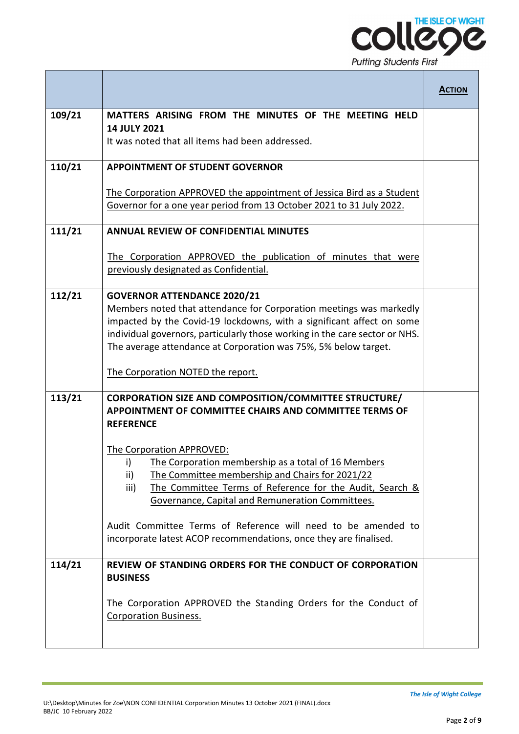

|        |                                                                                                                                                                                                                                                                                                                                      | <b>ACTION</b> |
|--------|--------------------------------------------------------------------------------------------------------------------------------------------------------------------------------------------------------------------------------------------------------------------------------------------------------------------------------------|---------------|
| 109/21 | MATTERS ARISING FROM THE MINUTES OF THE MEETING HELD                                                                                                                                                                                                                                                                                 |               |
|        | <b>14 JULY 2021</b><br>It was noted that all items had been addressed.                                                                                                                                                                                                                                                               |               |
| 110/21 | <b>APPOINTMENT OF STUDENT GOVERNOR</b>                                                                                                                                                                                                                                                                                               |               |
|        | The Corporation APPROVED the appointment of Jessica Bird as a Student<br>Governor for a one year period from 13 October 2021 to 31 July 2022.                                                                                                                                                                                        |               |
| 111/21 | <b>ANNUAL REVIEW OF CONFIDENTIAL MINUTES</b>                                                                                                                                                                                                                                                                                         |               |
|        | The Corporation APPROVED the publication of minutes that were<br>previously designated as Confidential.                                                                                                                                                                                                                              |               |
| 112/21 | <b>GOVERNOR ATTENDANCE 2020/21</b><br>Members noted that attendance for Corporation meetings was markedly<br>impacted by the Covid-19 lockdowns, with a significant affect on some<br>individual governors, particularly those working in the care sector or NHS.<br>The average attendance at Corporation was 75%, 5% below target. |               |
|        | The Corporation NOTED the report.                                                                                                                                                                                                                                                                                                    |               |
| 113/21 | <b>CORPORATION SIZE AND COMPOSITION/COMMITTEE STRUCTURE/</b><br>APPOINTMENT OF COMMITTEE CHAIRS AND COMMITTEE TERMS OF<br><b>REFERENCE</b>                                                                                                                                                                                           |               |
|        | The Corporation APPROVED:<br>The Corporation membership as a total of 16 Members<br>i) —<br>ii)<br>The Committee membership and Chairs for 2021/22<br>The Committee Terms of Reference for the Audit, Search &<br>iii)<br>Governance, Capital and Remuneration Committees.                                                           |               |
|        | Audit Committee Terms of Reference will need to be amended to<br>incorporate latest ACOP recommendations, once they are finalised.                                                                                                                                                                                                   |               |
| 114/21 | REVIEW OF STANDING ORDERS FOR THE CONDUCT OF CORPORATION<br><b>BUSINESS</b>                                                                                                                                                                                                                                                          |               |
|        | The Corporation APPROVED the Standing Orders for the Conduct of<br><b>Corporation Business.</b>                                                                                                                                                                                                                                      |               |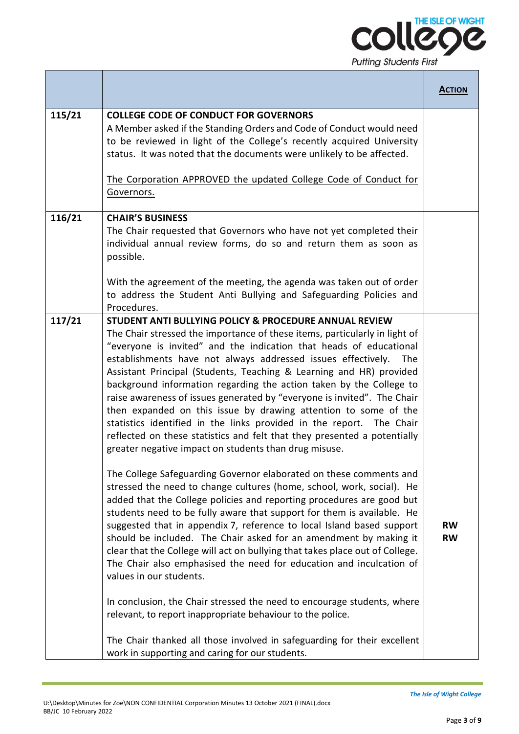

|        |                                                                                                                                                                                                                                                                                                                                                                                                                                                                                                                                                                                                                                                                                                                                                                                                                                                                                                                                                                                                                                                                                                                                                                                                                                                                                                                                                                                                                                                                                                                                                                                                                                                                                                   | <b>ACTION</b>          |
|--------|---------------------------------------------------------------------------------------------------------------------------------------------------------------------------------------------------------------------------------------------------------------------------------------------------------------------------------------------------------------------------------------------------------------------------------------------------------------------------------------------------------------------------------------------------------------------------------------------------------------------------------------------------------------------------------------------------------------------------------------------------------------------------------------------------------------------------------------------------------------------------------------------------------------------------------------------------------------------------------------------------------------------------------------------------------------------------------------------------------------------------------------------------------------------------------------------------------------------------------------------------------------------------------------------------------------------------------------------------------------------------------------------------------------------------------------------------------------------------------------------------------------------------------------------------------------------------------------------------------------------------------------------------------------------------------------------------|------------------------|
| 115/21 | <b>COLLEGE CODE OF CONDUCT FOR GOVERNORS</b><br>A Member asked if the Standing Orders and Code of Conduct would need<br>to be reviewed in light of the College's recently acquired University<br>status. It was noted that the documents were unlikely to be affected.<br>The Corporation APPROVED the updated College Code of Conduct for<br>Governors.                                                                                                                                                                                                                                                                                                                                                                                                                                                                                                                                                                                                                                                                                                                                                                                                                                                                                                                                                                                                                                                                                                                                                                                                                                                                                                                                          |                        |
| 116/21 | <b>CHAIR'S BUSINESS</b><br>The Chair requested that Governors who have not yet completed their<br>individual annual review forms, do so and return them as soon as<br>possible.<br>With the agreement of the meeting, the agenda was taken out of order<br>to address the Student Anti Bullying and Safeguarding Policies and<br>Procedures.                                                                                                                                                                                                                                                                                                                                                                                                                                                                                                                                                                                                                                                                                                                                                                                                                                                                                                                                                                                                                                                                                                                                                                                                                                                                                                                                                      |                        |
| 117/21 | STUDENT ANTI BULLYING POLICY & PROCEDURE ANNUAL REVIEW<br>The Chair stressed the importance of these items, particularly in light of<br>"everyone is invited" and the indication that heads of educational<br>establishments have not always addressed issues effectively. The<br>Assistant Principal (Students, Teaching & Learning and HR) provided<br>background information regarding the action taken by the College to<br>raise awareness of issues generated by "everyone is invited". The Chair<br>then expanded on this issue by drawing attention to some of the<br>statistics identified in the links provided in the report. The Chair<br>reflected on these statistics and felt that they presented a potentially<br>greater negative impact on students than drug misuse.<br>The College Safeguarding Governor elaborated on these comments and<br>stressed the need to change cultures (home, school, work, social). He<br>added that the College policies and reporting procedures are good but<br>students need to be fully aware that support for them is available. He<br>suggested that in appendix 7, reference to local Island based support<br>should be included. The Chair asked for an amendment by making it<br>clear that the College will act on bullying that takes place out of College.<br>The Chair also emphasised the need for education and inculcation of<br>values in our students.<br>In conclusion, the Chair stressed the need to encourage students, where<br>relevant, to report inappropriate behaviour to the police.<br>The Chair thanked all those involved in safeguarding for their excellent<br>work in supporting and caring for our students. | <b>RW</b><br><b>RW</b> |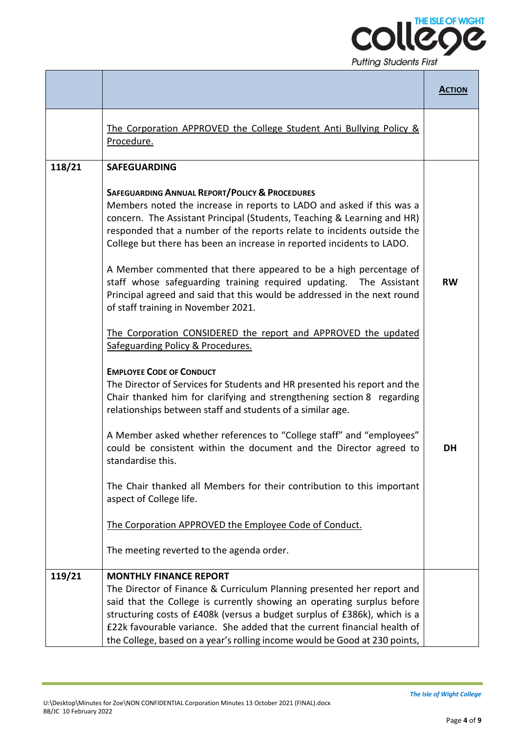

|        |                                                                                                                                                                                                                                                                                                                                                                                                                                                                                                                                                                                                                                                                                                                                                                                                                                                                                                                                                                                                                                                                                                                                                                                                                                                                                                                                                                                 | <b>ACTION</b>   |
|--------|---------------------------------------------------------------------------------------------------------------------------------------------------------------------------------------------------------------------------------------------------------------------------------------------------------------------------------------------------------------------------------------------------------------------------------------------------------------------------------------------------------------------------------------------------------------------------------------------------------------------------------------------------------------------------------------------------------------------------------------------------------------------------------------------------------------------------------------------------------------------------------------------------------------------------------------------------------------------------------------------------------------------------------------------------------------------------------------------------------------------------------------------------------------------------------------------------------------------------------------------------------------------------------------------------------------------------------------------------------------------------------|-----------------|
|        | The Corporation APPROVED the College Student Anti Bullying Policy &<br>Procedure.                                                                                                                                                                                                                                                                                                                                                                                                                                                                                                                                                                                                                                                                                                                                                                                                                                                                                                                                                                                                                                                                                                                                                                                                                                                                                               |                 |
| 118/21 | <b>SAFEGUARDING</b>                                                                                                                                                                                                                                                                                                                                                                                                                                                                                                                                                                                                                                                                                                                                                                                                                                                                                                                                                                                                                                                                                                                                                                                                                                                                                                                                                             |                 |
|        | <b>SAFEGUARDING ANNUAL REPORT/POLICY &amp; PROCEDURES</b><br>Members noted the increase in reports to LADO and asked if this was a<br>concern. The Assistant Principal (Students, Teaching & Learning and HR)<br>responded that a number of the reports relate to incidents outside the<br>College but there has been an increase in reported incidents to LADO.<br>A Member commented that there appeared to be a high percentage of<br>staff whose safeguarding training required updating.<br>The Assistant<br>Principal agreed and said that this would be addressed in the next round<br>of staff training in November 2021.<br>The Corporation CONSIDERED the report and APPROVED the updated<br>Safeguarding Policy & Procedures.<br><b>EMPLOYEE CODE OF CONDUCT</b><br>The Director of Services for Students and HR presented his report and the<br>Chair thanked him for clarifying and strengthening section 8 regarding<br>relationships between staff and students of a similar age.<br>A Member asked whether references to "College staff" and "employees"<br>could be consistent within the document and the Director agreed to<br>standardise this.<br>The Chair thanked all Members for their contribution to this important<br>aspect of College life.<br>The Corporation APPROVED the Employee Code of Conduct.<br>The meeting reverted to the agenda order. | <b>RW</b><br>DH |
| 119/21 | <b>MONTHLY FINANCE REPORT</b>                                                                                                                                                                                                                                                                                                                                                                                                                                                                                                                                                                                                                                                                                                                                                                                                                                                                                                                                                                                                                                                                                                                                                                                                                                                                                                                                                   |                 |
|        | The Director of Finance & Curriculum Planning presented her report and<br>said that the College is currently showing an operating surplus before<br>structuring costs of £408k (versus a budget surplus of £386k), which is a<br>£22k favourable variance. She added that the current financial health of<br>the College, based on a year's rolling income would be Good at 230 points,                                                                                                                                                                                                                                                                                                                                                                                                                                                                                                                                                                                                                                                                                                                                                                                                                                                                                                                                                                                         |                 |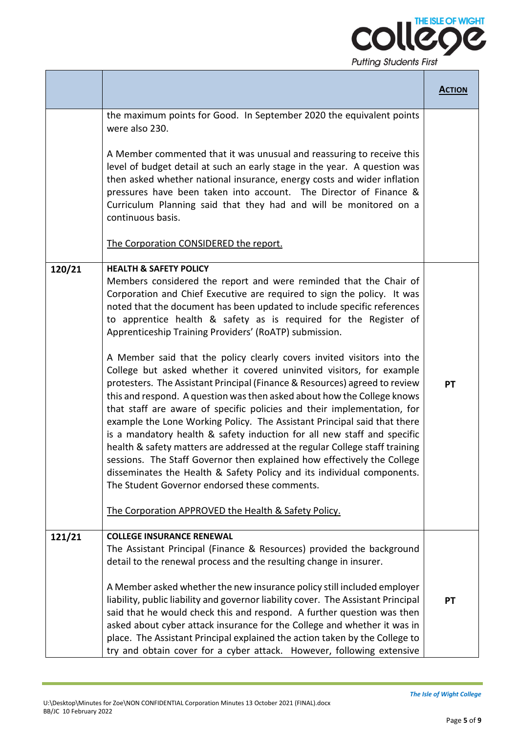

|        |                                                                                                                                                                                                                                                                                                                                                                                                                                                                                                                                                                                                                                                                                                                                                                                                                                                                                                                                                                                                                                                                                                                                                                                                                                                                                      | <b>ACTION</b> |
|--------|--------------------------------------------------------------------------------------------------------------------------------------------------------------------------------------------------------------------------------------------------------------------------------------------------------------------------------------------------------------------------------------------------------------------------------------------------------------------------------------------------------------------------------------------------------------------------------------------------------------------------------------------------------------------------------------------------------------------------------------------------------------------------------------------------------------------------------------------------------------------------------------------------------------------------------------------------------------------------------------------------------------------------------------------------------------------------------------------------------------------------------------------------------------------------------------------------------------------------------------------------------------------------------------|---------------|
|        | the maximum points for Good. In September 2020 the equivalent points<br>were also 230.<br>A Member commented that it was unusual and reassuring to receive this<br>level of budget detail at such an early stage in the year. A question was<br>then asked whether national insurance, energy costs and wider inflation<br>pressures have been taken into account. The Director of Finance &<br>Curriculum Planning said that they had and will be monitored on a<br>continuous basis.<br>The Corporation CONSIDERED the report.                                                                                                                                                                                                                                                                                                                                                                                                                                                                                                                                                                                                                                                                                                                                                     |               |
| 120/21 | <b>HEALTH &amp; SAFETY POLICY</b><br>Members considered the report and were reminded that the Chair of<br>Corporation and Chief Executive are required to sign the policy. It was<br>noted that the document has been updated to include specific references<br>to apprentice health & safety as is required for the Register of<br>Apprenticeship Training Providers' (RoATP) submission.<br>A Member said that the policy clearly covers invited visitors into the<br>College but asked whether it covered uninvited visitors, for example<br>protesters. The Assistant Principal (Finance & Resources) agreed to review<br>this and respond. A question was then asked about how the College knows<br>that staff are aware of specific policies and their implementation, for<br>example the Lone Working Policy. The Assistant Principal said that there<br>is a mandatory health & safety induction for all new staff and specific<br>health & safety matters are addressed at the regular College staff training<br>sessions. The Staff Governor then explained how effectively the College<br>disseminates the Health & Safety Policy and its individual components.<br>The Student Governor endorsed these comments.<br>The Corporation APPROVED the Health & Safety Policy. | PT            |
| 121/21 | <b>COLLEGE INSURANCE RENEWAL</b><br>The Assistant Principal (Finance & Resources) provided the background<br>detail to the renewal process and the resulting change in insurer.<br>A Member asked whether the new insurance policy still included employer<br>liability, public liability and governor liability cover. The Assistant Principal<br>said that he would check this and respond. A further question was then<br>asked about cyber attack insurance for the College and whether it was in<br>place. The Assistant Principal explained the action taken by the College to<br>try and obtain cover for a cyber attack. However, following extensive                                                                                                                                                                                                                                                                                                                                                                                                                                                                                                                                                                                                                        | PT            |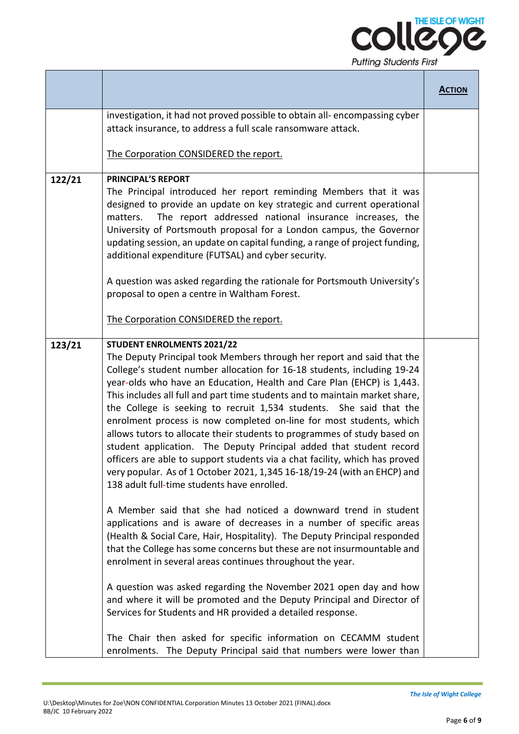

|        |                                                                                                                                                                                                                                                                                                                                                                                                                                                                                                                                                                                                                                                                                                                                                                                                                                                                                                                                                                                                                                                                                                                                                                                                                                                                                                                                                                                                                                                                                                                                                                                 | <b>ACTION</b> |
|--------|---------------------------------------------------------------------------------------------------------------------------------------------------------------------------------------------------------------------------------------------------------------------------------------------------------------------------------------------------------------------------------------------------------------------------------------------------------------------------------------------------------------------------------------------------------------------------------------------------------------------------------------------------------------------------------------------------------------------------------------------------------------------------------------------------------------------------------------------------------------------------------------------------------------------------------------------------------------------------------------------------------------------------------------------------------------------------------------------------------------------------------------------------------------------------------------------------------------------------------------------------------------------------------------------------------------------------------------------------------------------------------------------------------------------------------------------------------------------------------------------------------------------------------------------------------------------------------|---------------|
|        | investigation, it had not proved possible to obtain all-encompassing cyber<br>attack insurance, to address a full scale ransomware attack.                                                                                                                                                                                                                                                                                                                                                                                                                                                                                                                                                                                                                                                                                                                                                                                                                                                                                                                                                                                                                                                                                                                                                                                                                                                                                                                                                                                                                                      |               |
|        | The Corporation CONSIDERED the report.                                                                                                                                                                                                                                                                                                                                                                                                                                                                                                                                                                                                                                                                                                                                                                                                                                                                                                                                                                                                                                                                                                                                                                                                                                                                                                                                                                                                                                                                                                                                          |               |
| 122/21 | <b>PRINCIPAL'S REPORT</b><br>The Principal introduced her report reminding Members that it was<br>designed to provide an update on key strategic and current operational<br>The report addressed national insurance increases, the<br>matters.<br>University of Portsmouth proposal for a London campus, the Governor<br>updating session, an update on capital funding, a range of project funding,<br>additional expenditure (FUTSAL) and cyber security.<br>A question was asked regarding the rationale for Portsmouth University's<br>proposal to open a centre in Waltham Forest.<br>The Corporation CONSIDERED the report.                                                                                                                                                                                                                                                                                                                                                                                                                                                                                                                                                                                                                                                                                                                                                                                                                                                                                                                                               |               |
| 123/21 | <b>STUDENT ENROLMENTS 2021/22</b><br>The Deputy Principal took Members through her report and said that the<br>College's student number allocation for 16-18 students, including 19-24<br>year-olds who have an Education, Health and Care Plan (EHCP) is 1,443.<br>This includes all full and part time students and to maintain market share,<br>the College is seeking to recruit 1,534 students. She said that the<br>enrolment process is now completed on-line for most students, which<br>allows tutors to allocate their students to programmes of study based on<br>student application. The Deputy Principal added that student record<br>officers are able to support students via a chat facility, which has proved<br>very popular. As of 1 October 2021, 1,345 16-18/19-24 (with an EHCP) and<br>138 adult full-time students have enrolled.<br>A Member said that she had noticed a downward trend in student<br>applications and is aware of decreases in a number of specific areas<br>(Health & Social Care, Hair, Hospitality). The Deputy Principal responded<br>that the College has some concerns but these are not insurmountable and<br>enrolment in several areas continues throughout the year.<br>A question was asked regarding the November 2021 open day and how<br>and where it will be promoted and the Deputy Principal and Director of<br>Services for Students and HR provided a detailed response.<br>The Chair then asked for specific information on CECAMM student<br>enrolments. The Deputy Principal said that numbers were lower than |               |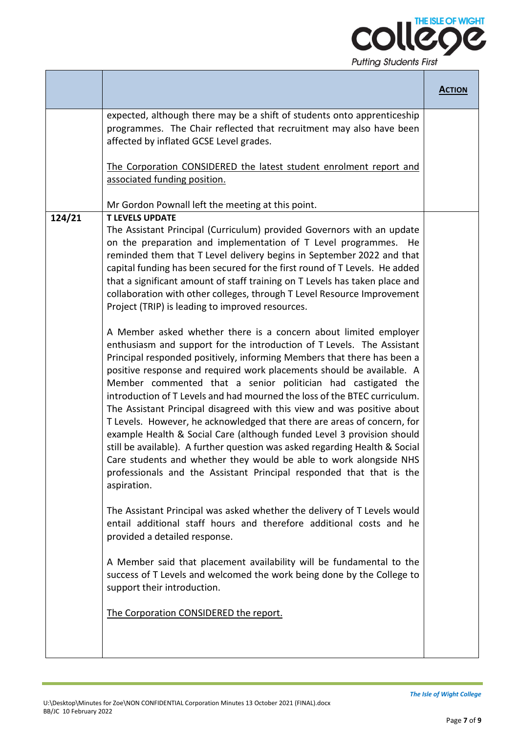

|        |                                                                                                                                                                                                                                                                                                                                                                                                                                                                                                                                                                                                                                                                                                                                                                                                                                                                                                                                                                                                                                                                                                                                                                                                                                                                                                                                                                                                                                                                                                                                                                                                                                                                                                                                                                                                                                                                                       | <b>ACTION</b> |
|--------|---------------------------------------------------------------------------------------------------------------------------------------------------------------------------------------------------------------------------------------------------------------------------------------------------------------------------------------------------------------------------------------------------------------------------------------------------------------------------------------------------------------------------------------------------------------------------------------------------------------------------------------------------------------------------------------------------------------------------------------------------------------------------------------------------------------------------------------------------------------------------------------------------------------------------------------------------------------------------------------------------------------------------------------------------------------------------------------------------------------------------------------------------------------------------------------------------------------------------------------------------------------------------------------------------------------------------------------------------------------------------------------------------------------------------------------------------------------------------------------------------------------------------------------------------------------------------------------------------------------------------------------------------------------------------------------------------------------------------------------------------------------------------------------------------------------------------------------------------------------------------------------|---------------|
|        | expected, although there may be a shift of students onto apprenticeship<br>programmes. The Chair reflected that recruitment may also have been<br>affected by inflated GCSE Level grades.<br>The Corporation CONSIDERED the latest student enrolment report and<br>associated funding position.                                                                                                                                                                                                                                                                                                                                                                                                                                                                                                                                                                                                                                                                                                                                                                                                                                                                                                                                                                                                                                                                                                                                                                                                                                                                                                                                                                                                                                                                                                                                                                                       |               |
|        | Mr Gordon Pownall left the meeting at this point.                                                                                                                                                                                                                                                                                                                                                                                                                                                                                                                                                                                                                                                                                                                                                                                                                                                                                                                                                                                                                                                                                                                                                                                                                                                                                                                                                                                                                                                                                                                                                                                                                                                                                                                                                                                                                                     |               |
| 124/21 | <b>T LEVELS UPDATE</b><br>The Assistant Principal (Curriculum) provided Governors with an update<br>on the preparation and implementation of T Level programmes.<br>He<br>reminded them that T Level delivery begins in September 2022 and that<br>capital funding has been secured for the first round of T Levels. He added<br>that a significant amount of staff training on T Levels has taken place and<br>collaboration with other colleges, through T Level Resource Improvement<br>Project (TRIP) is leading to improved resources.<br>A Member asked whether there is a concern about limited employer<br>enthusiasm and support for the introduction of T Levels. The Assistant<br>Principal responded positively, informing Members that there has been a<br>positive response and required work placements should be available. A<br>Member commented that a senior politician had castigated the<br>introduction of T Levels and had mourned the loss of the BTEC curriculum.<br>The Assistant Principal disagreed with this view and was positive about<br>T Levels. However, he acknowledged that there are areas of concern, for<br>example Health & Social Care (although funded Level 3 provision should<br>still be available). A further question was asked regarding Health & Social<br>Care students and whether they would be able to work alongside NHS<br>professionals and the Assistant Principal responded that that is the<br>aspiration.<br>The Assistant Principal was asked whether the delivery of T Levels would<br>entail additional staff hours and therefore additional costs and he<br>provided a detailed response.<br>A Member said that placement availability will be fundamental to the<br>success of T Levels and welcomed the work being done by the College to<br>support their introduction.<br>The Corporation CONSIDERED the report. |               |
|        |                                                                                                                                                                                                                                                                                                                                                                                                                                                                                                                                                                                                                                                                                                                                                                                                                                                                                                                                                                                                                                                                                                                                                                                                                                                                                                                                                                                                                                                                                                                                                                                                                                                                                                                                                                                                                                                                                       |               |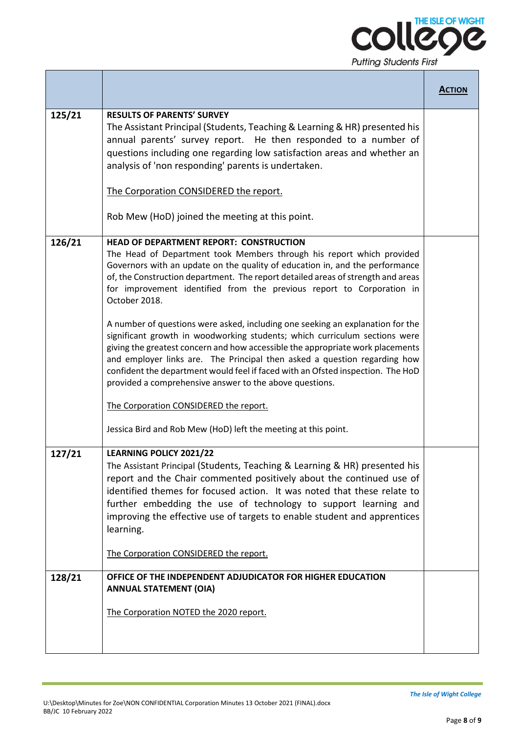

|        |                                                                                                                                                                                                                                                                                                                                                                                                                                                                                                                                                                                                                                                                                                                                                                                                                                                                                                                                                                                | <b>ACTION</b> |
|--------|--------------------------------------------------------------------------------------------------------------------------------------------------------------------------------------------------------------------------------------------------------------------------------------------------------------------------------------------------------------------------------------------------------------------------------------------------------------------------------------------------------------------------------------------------------------------------------------------------------------------------------------------------------------------------------------------------------------------------------------------------------------------------------------------------------------------------------------------------------------------------------------------------------------------------------------------------------------------------------|---------------|
| 125/21 | <b>RESULTS OF PARENTS' SURVEY</b><br>The Assistant Principal (Students, Teaching & Learning & HR) presented his<br>annual parents' survey report. He then responded to a number of<br>questions including one regarding low satisfaction areas and whether an<br>analysis of 'non responding' parents is undertaken.                                                                                                                                                                                                                                                                                                                                                                                                                                                                                                                                                                                                                                                           |               |
|        | The Corporation CONSIDERED the report.<br>Rob Mew (HoD) joined the meeting at this point.                                                                                                                                                                                                                                                                                                                                                                                                                                                                                                                                                                                                                                                                                                                                                                                                                                                                                      |               |
| 126/21 | <b>HEAD OF DEPARTMENT REPORT: CONSTRUCTION</b><br>The Head of Department took Members through his report which provided<br>Governors with an update on the quality of education in, and the performance<br>of, the Construction department. The report detailed areas of strength and areas<br>for improvement identified from the previous report to Corporation in<br>October 2018.<br>A number of questions were asked, including one seeking an explanation for the<br>significant growth in woodworking students; which curriculum sections were<br>giving the greatest concern and how accessible the appropriate work placements<br>and employer links are. The Principal then asked a question regarding how<br>confident the department would feel if faced with an Ofsted inspection. The HoD<br>provided a comprehensive answer to the above questions.<br>The Corporation CONSIDERED the report.<br>Jessica Bird and Rob Mew (HoD) left the meeting at this point. |               |
| 127/21 | LEARNING POLICY 2021/22<br>The Assistant Principal (Students, Teaching & Learning & HR) presented his<br>report and the Chair commented positively about the continued use of<br>identified themes for focused action. It was noted that these relate to<br>further embedding the use of technology to support learning and<br>improving the effective use of targets to enable student and apprentices<br>learning.<br>The Corporation CONSIDERED the report.                                                                                                                                                                                                                                                                                                                                                                                                                                                                                                                 |               |
| 128/21 | OFFICE OF THE INDEPENDENT ADJUDICATOR FOR HIGHER EDUCATION<br><b>ANNUAL STATEMENT (OIA)</b><br>The Corporation NOTED the 2020 report.                                                                                                                                                                                                                                                                                                                                                                                                                                                                                                                                                                                                                                                                                                                                                                                                                                          |               |